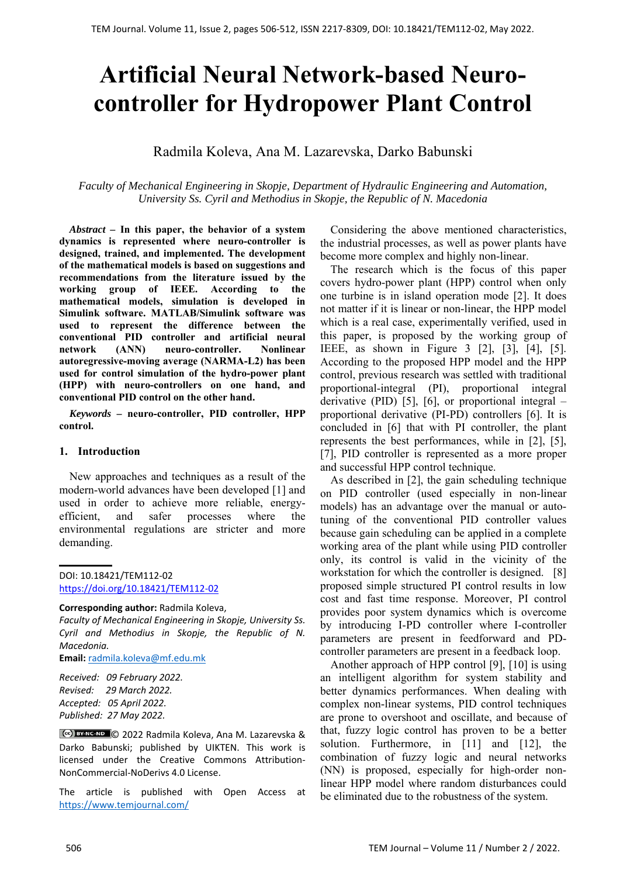# **Artificial Neural Network-based Neurocontroller for Hydropower Plant Control**

# Radmila Koleva, Ana M. Lazarevska, Darko Babunski

*Faculty of Mechanical Engineering in Skopje, Department of Hydraulic Engineering and Automation, University Ss. Cyril and Methodius in Skopje, the Republic of N. Macedonia* 

*Abstract –* **In this paper, the behavior of a system dynamics is represented where neuro-controller is designed, trained, and implemented. The development of the mathematical models is based on suggestions and recommendations from the literature issued by the working group of IEEE. According to the mathematical models, simulation is developed in Simulink software. MATLAB/Simulink software was used to represent the difference between the conventional PID controller and artificial neural network (ANN) neuro-controller. Nonlinear autoregressive-moving average (NARMA-L2) has been used for control simulation of the hydro-power plant (HPP) with neuro-controllers on one hand, and conventional PID control on the other hand.** 

*Keywords –* **neuro-controller, PID controller, HPP control.** 

### **1. Introduction**

New approaches and techniques as a result of the modern-world advances have been developed [1] and used in order to achieve more reliable, energyefficient, and safer processes where the environmental regulations are stricter and more demanding.

### DOI: 10.18421/TEM112-02 [https://doi.org/10.18421/TEM112](https://doi.org/10.18421/TEM112-02)-02

#### **Corresponding author:** Radmila Koleva,

*Faculty of Mechanical Engineering in Skopje, University Ss. Cyril and Methodius in Skopje, the Republic of N. Macedonia.* 

**Email:** radmila.koleva@mf.edu.mk

*Received: 09 February 2022. Revised: 29 March 2022. Accepted: 05 April 2022. Published: 27 May 2022.* 

© 2022 Radmila Koleva, Ana M. Lazarevska & Darko Babunski; published by UIKTEN. This work is licensed under the Creative Commons Attribution‐ NonCommercial‐NoDerivs 4.0 License.

The article is published with Open Access at https://www.temjournal.com/

Considering the above mentioned characteristics, the industrial processes, as well as power plants have become more complex and highly non-linear.

The research which is the focus of this paper covers hydro-power plant (HPP) control when only one turbine is in island operation mode [2]. It does not matter if it is linear or non-linear, the HPP model which is a real case, experimentally verified, used in this paper, is proposed by the working group of IEEE, as shown in Figure 3 [2], [3], [4], [5]. According to the proposed HPP model and the HPP control, previous research was settled with traditional proportional-integral (PI), proportional integral derivative (PID) [5], [6], or proportional integral  $$ proportional derivative (PI-PD) controllers [6]. It is concluded in [6] that with PI controller, the plant represents the best performances, while in [2], [5], [7], PID controller is represented as a more proper and successful HPP control technique.

As described in [2], the gain scheduling technique on PID controller (used especially in non-linear models) has an advantage over the manual or autotuning of the conventional PID controller values because gain scheduling can be applied in a complete working area of the plant while using PID controller only, its control is valid in the vicinity of the workstation for which the controller is designed. [8] proposed simple structured PI control results in low cost and fast time response. Moreover, PI control provides poor system dynamics which is overcome by introducing I-PD controller where I-controller parameters are present in feedforward and PDcontroller parameters are present in a feedback loop.

Another approach of HPP control [9], [10] is using an intelligent algorithm for system stability and better dynamics performances. When dealing with complex non-linear systems, PID control techniques are prone to overshoot and oscillate, and because of that, fuzzy logic control has proven to be a better solution. Furthermore, in [11] and [12], the combination of fuzzy logic and neural networks (NN) is proposed, especially for high-order nonlinear HPP model where random disturbances could be eliminated due to the robustness of the system.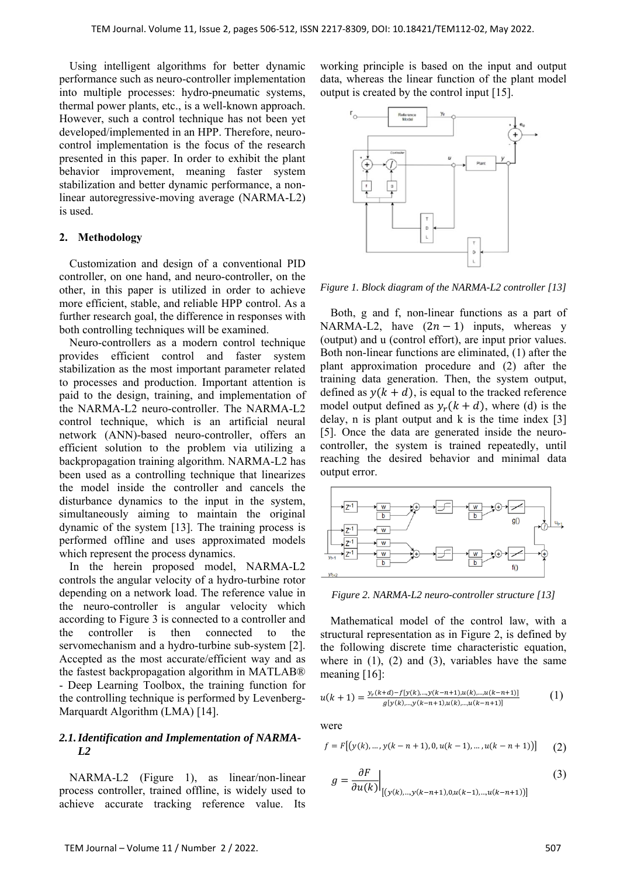Using intelligent algorithms for better dynamic performance such as neuro-controller implementation into multiple processes: hydro-pneumatic systems, thermal power plants, etc., is a well-known approach. However, such a control technique has not been yet developed/implemented in an HPP. Therefore, neurocontrol implementation is the focus of the research presented in this paper. In order to exhibit the plant behavior improvement, meaning faster system stabilization and better dynamic performance, a nonlinear autoregressive-moving average (NARMA-L2) is used.

### **2. Methodology**

Customization and design of a conventional PID controller, on one hand, and neuro-controller, on the other, in this paper is utilized in order to achieve more efficient, stable, and reliable HPP control. As a further research goal, the difference in responses with both controlling techniques will be examined.

Neuro-controllers as a modern control technique provides efficient control and faster system stabilization as the most important parameter related to processes and production. Important attention is paid to the design, training, and implementation of the NARMA-L2 neuro-controller. The NARMA-L2 control technique, which is an artificial neural network (ANN)-based neuro-controller, offers an efficient solution to the problem via utilizing a backpropagation training algorithm. NARMA-L2 has been used as a controlling technique that linearizes the model inside the controller and cancels the disturbance dynamics to the input in the system, simultaneously aiming to maintain the original dynamic of the system [13]. The training process is performed offline and uses approximated models which represent the process dynamics.

In the herein proposed model, NARMA-L2 controls the angular velocity of a hydro-turbine rotor depending on a network load. The reference value in the neuro-controller is angular velocity which according to Figure 3 is connected to a controller and the controller is then connected to the servomechanism and a hydro-turbine sub-system [2]. Accepted as the most accurate/efficient way and as the fastest backpropagation algorithm in MATLAB® - Deep Learning Toolbox, the training function for the controlling technique is performed by Levenberg-Marquardt Algorithm (LMA) [14].

# *2.1.Identification and Implementation of NARMA-L2*

NARMA-L2 (Figure 1), as linear/non-linear process controller, trained offline, is widely used to achieve accurate tracking reference value. Its

working principle is based on the input and output data, whereas the linear function of the plant model output is created by the control input [15].



*Figure 1. Block diagram of the NARMA-L2 controller [13]*

Both, g and f, non-linear functions as a part of NARMA-L2, have  $(2n - 1)$  inputs, whereas y (output) and u (control effort), are input prior values. Both non-linear functions are eliminated, (1) after the plant approximation procedure and (2) after the training data generation. Then, the system output, defined as  $y(k + d)$ , is equal to the tracked reference model output defined as  $y_r (k + d)$ , where (d) is the delay,  $n$  is plant output and  $k$  is the time index [3] [5]. Once the data are generated inside the neurocontroller, the system is trained repeatedly, until reaching the desired behavior and minimal data output error.



*Figure 2. NARMA-L2 neuro-controller structure [13]* 

Mathematical model of the control law, with a structural representation as in Figure 2, is defined by the following discrete time characteristic equation, where in  $(1)$ ,  $(2)$  and  $(3)$ , variables have the same meaning [16]:

$$
u(k+1) = \frac{y_r(k+d) - f[y(k),...,y(k-n+1),u(k),...,u(k-n+1)]}{g[y(k),...,y(k-n+1),u(k),...,u(k-n+1)]}
$$
(1)

were

$$
f = F[(y(k), ..., y(k - n + 1), 0, u(k - 1), ..., u(k - n + 1))]
$$
(2)

$$
g = \frac{\partial F}{\partial u(k)}\Big|_{[(y(k),...,y(k-n+1),0,u(k-1),...,u(k-n+1))]}
$$
(3)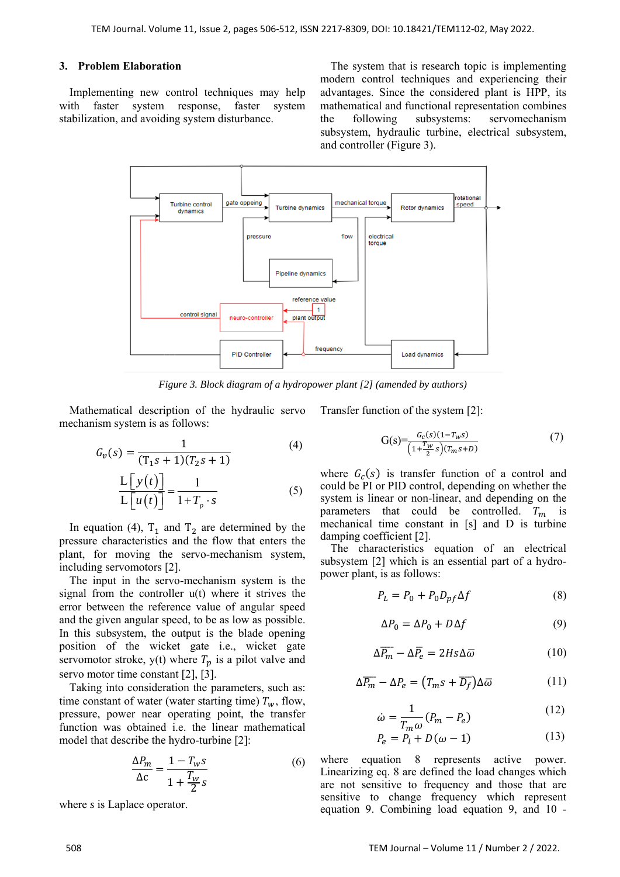# **3. Problem Elaboration**

Implementing new control techniques may help with faster system response, faster system stabilization, and avoiding system disturbance.

The system that is research topic is implementing modern control techniques and experiencing their advantages. Since the considered plant is HPP, its mathematical and functional representation combines the following subsystems: servomechanism subsystem, hydraulic turbine, electrical subsystem, and controller (Figure 3).



*Figure 3. Block diagram of a hydropower plant [2] (amended by authors)* 

Mathematical description of the hydraulic servo mechanism system is as follows:

$$
G_{\nu}(s) = \frac{1}{(T_1s + 1)(T_2s + 1)}
$$
\n
$$
\frac{L[y(t)]}{L[u(t)]} = \frac{1}{1 + T_{\rho} \cdot s}
$$
\n(4)

In equation (4),  $T_1$  and  $T_2$  are determined by the pressure characteristics and the flow that enters the plant, for moving the servo-mechanism system, including servomotors [2].

The input in the servo-mechanism system is the signal from the controller u(t) where it strives the error between the reference value of angular speed and the given angular speed, to be as low as possible. In this subsystem, the output is the blade opening position of the wicket gate i.e., wicket gate servomotor stroke,  $y(t)$  where  $T_p$  is a pilot valve and servo motor time constant [2], [3].

Taking into consideration the parameters, such as: time constant of water (water starting time)  $T_w$ , flow, pressure, power near operating point, the transfer function was obtained i.e. the linear mathematical model that describe the hydro-turbine [2]:

$$
\frac{\Delta P_m}{\Delta c} = \frac{1 - T_w s}{1 + \frac{T_w}{2} s} \tag{6}
$$

where *s* is Laplace operator.

Transfer function of the system [2]:

$$
G(s) = \frac{G_c(s)(1 - T_w s)}{\left(1 + \frac{T_w}{2} s\right)(T_m s + D)}
$$
(7)

where  $G_c(s)$  is transfer function of a control and could be PI or PID control, depending on whether the system is linear or non-linear, and depending on the parameters that could be controlled.  $T_m$  is mechanical time constant in [s] and D is turbine damping coefficient [2].

The characteristics equation of an electrical subsystem [2] which is an essential part of a hydropower plant, is as follows:

$$
P_L = P_0 + P_0 D_{pf} \Delta f \tag{8}
$$

$$
\Delta P_0 = \Delta P_0 + D\Delta f \tag{9}
$$

$$
\Delta \overline{P_m} - \Delta \overline{P_e} = 2Hs\Delta \overline{\omega} \tag{10}
$$

$$
\Delta \overline{P_m} - \Delta P_e = (T_m s + \overline{D_f}) \Delta \overline{\omega}
$$
 (11)

$$
\dot{\omega} = \frac{1}{T_m \omega} (P_m - P_e) \tag{12}
$$

$$
P_e = P_l + D(\omega - 1) \tag{13}
$$

where equation 8 represents active power. Linearizing eq. 8 are defined the load changes which are not sensitive to frequency and those that are sensitive to change frequency which represent equation 9. Combining load equation 9, and 10 -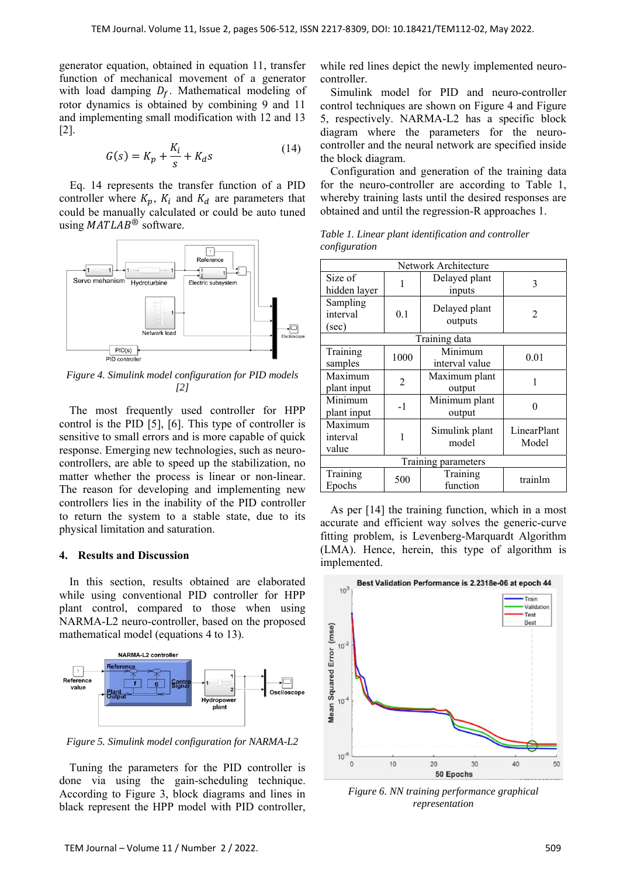generator equation, obtained in equation 11, transfer function of mechanical movement of a generator with load damping  $D_f$ . Mathematical modeling of rotor dynamics is obtained by combining 9 and 11 and implementing small modification with 12 and 13 [2].

$$
G(s) = K_p + \frac{K_i}{s} + K_d s \tag{14}
$$

Eq. 14 represents the transfer function of a PID controller where  $K_p$ ,  $K_i$  and  $K_d$  are parameters that could be manually calculated or could be auto tuned using  $MATLAB^{\circledR}$  software.



*Figure 4. Simulink model configuration for PID models [2]* 

The most frequently used controller for HPP control is the PID [5], [6]. This type of controller is sensitive to small errors and is more capable of quick response. Emerging new technologies, such as neurocontrollers, are able to speed up the stabilization, no matter whether the process is linear or non-linear. The reason for developing and implementing new controllers lies in the inability of the PID controller to return the system to a stable state, due to its physical limitation and saturation.

### **4. Results and Discussion**

In this section, results obtained are elaborated while using conventional PID controller for HPP plant control, compared to those when using NARMA-L2 neuro-controller, based on the proposed mathematical model (equations 4 to 13).



*Figure 5. Simulink model configuration for NARMA-L2* 

Tuning the parameters for the PID controller is done via using the gain-scheduling technique. According to Figure 3, block diagrams and lines in black represent the HPP model with PID controller, while red lines depict the newly implemented neurocontroller.

Simulink model for PID and neuro-controller control techniques are shown on Figure 4 and Figure 5, respectively. NARMA-L2 has a specific block diagram where the parameters for the neurocontroller and the neural network are specified inside the block diagram.

Configuration and generation of the training data for the neuro-controller are according to Table 1, whereby training lasts until the desired responses are obtained and until the regression-R approaches 1.

*Table 1. Linear plant identification and controller configuration* 

| Network Architecture                   |                |                           |                             |  |  |  |
|----------------------------------------|----------------|---------------------------|-----------------------------|--|--|--|
| Size of<br>hidden layer                | 1              | Delayed plant<br>inputs   | 3                           |  |  |  |
| Sampling<br>interval<br>(sec)          | 0.1            | Delayed plant<br>outputs  | $\mathcal{D}_{\mathcal{L}}$ |  |  |  |
| Training data                          |                |                           |                             |  |  |  |
| Training<br>samples                    | 1000           | Minimum<br>interval value | 0.01                        |  |  |  |
| Maximum<br>plant input                 | $\overline{2}$ | Maximum plant<br>output   | 1                           |  |  |  |
| Minimum<br>plant input                 | $-1$           | Minimum plant<br>output   |                             |  |  |  |
| Maximum<br>interval<br>value           | 1              | Simulink plant<br>model   | LinearPlant<br>Model        |  |  |  |
| Training parameters                    |                |                           |                             |  |  |  |
| $\overline{\text{Training}}$<br>Epochs | 500            | Training<br>function      | trainlm                     |  |  |  |

As per [14] the training function, which in a most accurate and efficient way solves the generic-curve fitting problem, is Levenberg-Marquardt Algorithm (LMA). Hence, herein, this type of algorithm is implemented.



*Figure 6. NN training performance graphical representation*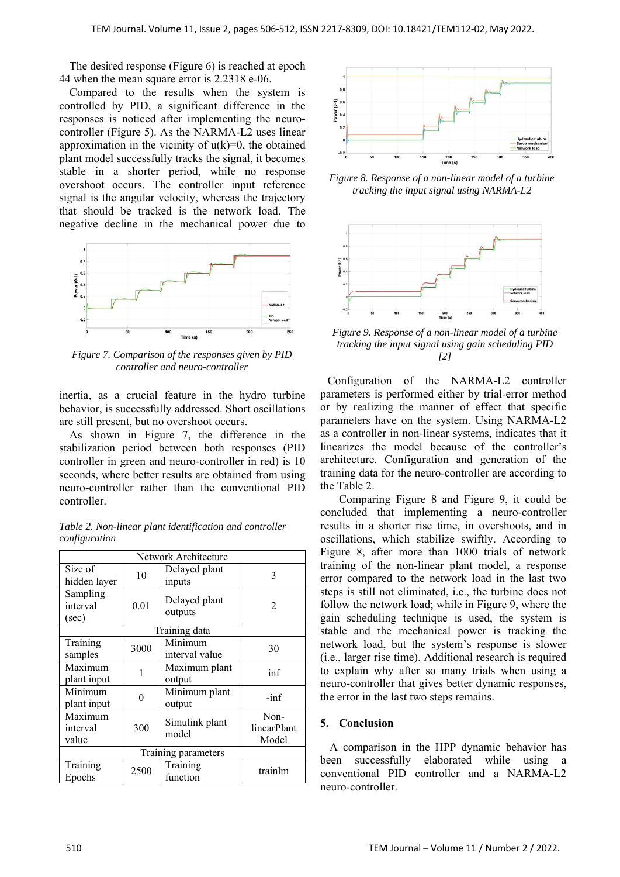The desired response (Figure 6) is reached at epoch 44 when the mean square error is 2.2318 e-06.

Compared to the results when the system is controlled by PID, a significant difference in the responses is noticed after implementing the neurocontroller (Figure 5). As the NARMA-L2 uses linear approximation in the vicinity of  $u(k)=0$ , the obtained plant model successfully tracks the signal, it becomes stable in a shorter period, while no response overshoot occurs. The controller input reference signal is the angular velocity, whereas the trajectory that should be tracked is the network load. The negative decline in the mechanical power due to



*Figure 7. Comparison of the responses given by PID controller and neuro-controller* 

inertia, as a crucial feature in the hydro turbine behavior, is successfully addressed. Short oscillations are still present, but no overshoot occurs.

As shown in Figure 7, the difference in the stabilization period between both responses (PID controller in green and neuro-controller in red) is 10 seconds, where better results are obtained from using neuro-controller rather than the conventional PID controller.

| Network Architecture          |      |                           |                              |  |  |  |
|-------------------------------|------|---------------------------|------------------------------|--|--|--|
| Size of<br>hidden layer       | 10   | Delayed plant<br>inputs   | 3                            |  |  |  |
| Sampling<br>interval<br>(sec) | 0.01 | Delayed plant<br>outputs  | $\mathfrak{D}$               |  |  |  |
| Training data                 |      |                           |                              |  |  |  |
| Training<br>samples           | 3000 | Minimum<br>interval value | 30                           |  |  |  |
| Maximum<br>plant input        | 1    | Maximum plant<br>output   | inf                          |  |  |  |
| Minimum<br>plant input        | 0    | Minimum plant<br>output   | $-inf$                       |  |  |  |
| Maximum<br>interval<br>value  | 300  | Simulink plant<br>model   | Non-<br>linearPlant<br>Model |  |  |  |
| Training parameters           |      |                           |                              |  |  |  |
| Training<br>Epochs            | 2500 | Training<br>function      | trainlm                      |  |  |  |

*Table 2. Non-linear plant identification and controller configuration* 



*Figure 8. Response of a non-linear model of a turbine tracking the input signal using NARMA-L2* 



*Figure 9. Response of a non-linear model of a turbine tracking the input signal using gain scheduling PID [2]* 

Configuration of the NARMA-L2 controller parameters is performed either by trial-error method or by realizing the manner of effect that specific parameters have on the system. Using NARMA-L2 as a controller in non-linear systems, indicates that it linearizes the model because of the controller's architecture. Configuration and generation of the training data for the neuro-controller are according to the Table 2.

Comparing Figure 8 and Figure 9, it could be concluded that implementing a neuro-controller results in a shorter rise time, in overshoots, and in oscillations, which stabilize swiftly. According to Figure 8, after more than 1000 trials of network training of the non-linear plant model, a response error compared to the network load in the last two steps is still not eliminated, i.e., the turbine does not follow the network load; while in Figure 9, where the gain scheduling technique is used, the system is stable and the mechanical power is tracking the network load, but the system's response is slower (i.e., larger rise time). Additional research is required to explain why after so many trials when using a neuro-controller that gives better dynamic responses, the error in the last two steps remains.

# **5. Conclusion**

A comparison in the HPP dynamic behavior has been successfully elaborated while using a conventional PID controller and a NARMA-L2 neuro-controller.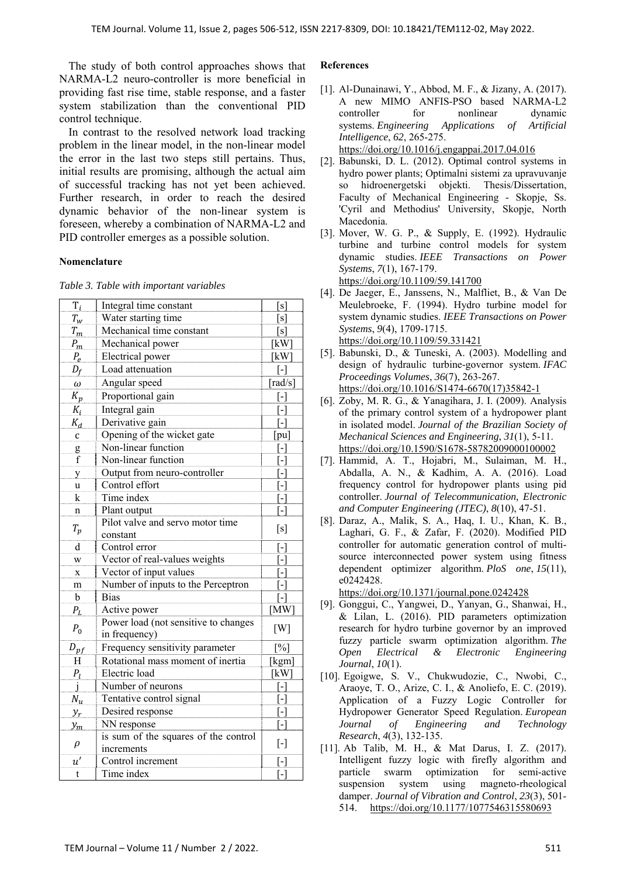The study of both control approaches shows that NARMA-L2 neuro-controller is more beneficial in providing fast rise time, stable response, and a faster system stabilization than the conventional PID control technique.

In contrast to the resolved network load tracking problem in the linear model, in the non-linear model the error in the last two steps still pertains. Thus, initial results are promising, although the actual aim of successful tracking has not yet been achieved. Further research, in order to reach the desired dynamic behavior of the non-linear system is foreseen, whereby a combination of NARMA-L2 and PID controller emerges as a possible solution.

# **Nomenclature**

*Table 3. Table with important variables* 

| $T_i$           | Integral time constant               | [s]                                                                                                                                                                                                                                                                                                                                                                                                                                                                                                                                                                                     |  |
|-----------------|--------------------------------------|-----------------------------------------------------------------------------------------------------------------------------------------------------------------------------------------------------------------------------------------------------------------------------------------------------------------------------------------------------------------------------------------------------------------------------------------------------------------------------------------------------------------------------------------------------------------------------------------|--|
| $T_{w}$         | Water starting time                  | [s]                                                                                                                                                                                                                                                                                                                                                                                                                                                                                                                                                                                     |  |
| $T_m$           | Mechanical time constant             | [s]                                                                                                                                                                                                                                                                                                                                                                                                                                                                                                                                                                                     |  |
| $P_m$           | Mechanical power                     | [kW]                                                                                                                                                                                                                                                                                                                                                                                                                                                                                                                                                                                    |  |
| $P_e$           | Electrical power                     | [kW]                                                                                                                                                                                                                                                                                                                                                                                                                                                                                                                                                                                    |  |
| $D_f$           | Load attenuation                     | $\lbrack - \rbrack$                                                                                                                                                                                                                                                                                                                                                                                                                                                                                                                                                                     |  |
| $\omega$        | Angular speed                        | $\lceil \text{rad/s} \rceil$                                                                                                                                                                                                                                                                                                                                                                                                                                                                                                                                                            |  |
| $K_p$           | Proportional gain                    | $[\cdot]$                                                                                                                                                                                                                                                                                                                                                                                                                                                                                                                                                                               |  |
| $K_i$           | Integral gain                        | $\left[ -\right] % \includegraphics[width=0.9\columnwidth]{figures/fig_2b.pdf} \caption{The graph $\mathcal{N}_1$ is a function of the parameter $\mathcal{N}_1$ and $\mathcal{N}_2$ is a function of the parameter $\mathcal{N}_1$ and $\mathcal{N}_2$ is a function of the parameter $\mathcal{N}_1$ and $\mathcal{N}_2$ is a function of the parameter $\mathcal{N}_1$ and $\mathcal{N}_2$ is a function of the parameter $\mathcal{N}_1$ and $\mathcal{N}_2$ is a function of the parameter $\mathcal{N}_1$.} \label{fig:1}$                                                        |  |
| $K_d$           | Derivative gain                      | $\lceil - \rceil$                                                                                                                                                                                                                                                                                                                                                                                                                                                                                                                                                                       |  |
| C               | Opening of the wicket gate           | $\lceil \text{pu} \rceil$                                                                                                                                                                                                                                                                                                                                                                                                                                                                                                                                                               |  |
| g               | Non-linear function                  | l-l                                                                                                                                                                                                                                                                                                                                                                                                                                                                                                                                                                                     |  |
| f               | Non-linear function                  | [-]                                                                                                                                                                                                                                                                                                                                                                                                                                                                                                                                                                                     |  |
| y               | Output from neuro-controller         | $\lceil - \rceil$                                                                                                                                                                                                                                                                                                                                                                                                                                                                                                                                                                       |  |
| u               | Control effort                       | $\lceil - \rceil$                                                                                                                                                                                                                                                                                                                                                                                                                                                                                                                                                                       |  |
| k               | Time index                           | [-]                                                                                                                                                                                                                                                                                                                                                                                                                                                                                                                                                                                     |  |
| n               | Plant output                         | -1                                                                                                                                                                                                                                                                                                                                                                                                                                                                                                                                                                                      |  |
|                 | Pilot valve and servo motor time     | [s]                                                                                                                                                                                                                                                                                                                                                                                                                                                                                                                                                                                     |  |
| $T_p$           | constant                             |                                                                                                                                                                                                                                                                                                                                                                                                                                                                                                                                                                                         |  |
| $\mathbf d$     | Control error                        | $\lceil - \rceil$                                                                                                                                                                                                                                                                                                                                                                                                                                                                                                                                                                       |  |
| W               | Vector of real-values weights        | $\lceil - \rceil$                                                                                                                                                                                                                                                                                                                                                                                                                                                                                                                                                                       |  |
| $\mathbf x$     | Vector of input values               | [-]                                                                                                                                                                                                                                                                                                                                                                                                                                                                                                                                                                                     |  |
| m               | Number of inputs to the Perceptron   | [-]                                                                                                                                                                                                                                                                                                                                                                                                                                                                                                                                                                                     |  |
| b               | Bias                                 | l-l                                                                                                                                                                                                                                                                                                                                                                                                                                                                                                                                                                                     |  |
| $P_L$           | Active power                         | [MW]                                                                                                                                                                                                                                                                                                                                                                                                                                                                                                                                                                                    |  |
| $P_0$           | Power load (not sensitive to changes | [W]                                                                                                                                                                                                                                                                                                                                                                                                                                                                                                                                                                                     |  |
|                 | in frequency)                        |                                                                                                                                                                                                                                                                                                                                                                                                                                                                                                                                                                                         |  |
| $D_{pf}$        | Frequency sensitivity parameter      | [%]                                                                                                                                                                                                                                                                                                                                                                                                                                                                                                                                                                                     |  |
| Η               | Rotational mass moment of inertia    | [kgm]                                                                                                                                                                                                                                                                                                                                                                                                                                                                                                                                                                                   |  |
| $P_l$           | Electric load                        | [kW]                                                                                                                                                                                                                                                                                                                                                                                                                                                                                                                                                                                    |  |
| j               | Number of neurons                    | $[ - ]$                                                                                                                                                                                                                                                                                                                                                                                                                                                                                                                                                                                 |  |
| $N_u$           | Tentative control signal             | $[ - ]$                                                                                                                                                                                                                                                                                                                                                                                                                                                                                                                                                                                 |  |
| $y_r$           | Desired response                     | $\left[ \cdot \right]$                                                                                                                                                                                                                                                                                                                                                                                                                                                                                                                                                                  |  |
| $\mathcal{Y}_m$ | NN response                          | [-]                                                                                                                                                                                                                                                                                                                                                                                                                                                                                                                                                                                     |  |
| $\rho$          | is sum of the squares of the control | $[\cdot]$                                                                                                                                                                                                                                                                                                                                                                                                                                                                                                                                                                               |  |
|                 | increments                           |                                                                                                                                                                                                                                                                                                                                                                                                                                                                                                                                                                                         |  |
| u'              | Control increment                    | $[\cdot] % \centering \includegraphics[width=0.9\columnwidth]{figures/fig_10.pdf} \caption{The graph $\mathcal{N}_1$ is a function of the number of~\textit{N}_1$-error of the number of~\textit{N}_2$-error of the number of~\textit{N}_1$-error of the number of~\textit{N}_2$-error of the number of~\textit{N}_1$-error of the number of~\textit{N}_2$-error of the number of~\textit{N}_1$-error of the number of~\textit{N}_2$-error of the number of~\textit{N}_1$-error of the number of~\textit{N}_2$-error of the number of~\textit{N}_1$-error of the number of~\textit{N}_$ |  |
| t               | Time index                           | $\left[ \cdot \right] % \includegraphics[width=0.9\textwidth]{images/TrDiS/N-Architecture.png} % \caption{The first two different values of $N$ in the \mbox{thm}\xspace H\ensuremath{\mathbb{Z}}\xspace^{n+1}$ is shown in the \mbox{thm}\xspace H\ensuremath{\mathbb{Z}}\xspace^{n+1} \label{TrDiS/N-Architecture} %$                                                                                                                                                                                                                                                                 |  |
|                 |                                      |                                                                                                                                                                                                                                                                                                                                                                                                                                                                                                                                                                                         |  |

## **References**

[1]. Al-Dunainawi, Y., Abbod, M. F., & Jizany, A. (2017). A new MIMO ANFIS-PSO based NARMA-L2 controller for nonlinear dynamic systems. *Engineering Applications of Artificial Intelligence*, *62*, 265-275. https://doi.org/10.1016/j.engappai.2017.04.016

[2]. Babunski, D. L. (2012). Optimal control systems in hydro power plants; Optimalni sistemi za upravuvanje so hidroenergetski objekti. Thesis/Dissertation, Faculty of Mechanical Engineering - Skopje, Ss. 'Cyril and Methodius' University, Skopje, North Macedonia.

- [3]. Mover, W. G. P., & Supply, E. (1992). Hydraulic turbine and turbine control models for system dynamic studies. *IEEE Transactions on Power Systems*, *7*(1), 167-179. https://doi.org/10.1109/59.141700
- [4]. De Jaeger, E., Janssens, N., Malfliet, B., & Van De Meulebroeke, F. (1994). Hydro turbine model for system dynamic studies. *IEEE Transactions on Power Systems*, *9*(4), 1709-1715. https://doi.org/10.1109/59.331421
- [5]. Babunski, D., & Tuneski, A. (2003). Modelling and design of hydraulic turbine-governor system. *IFAC Proceedings Volumes*, *36*(7), 263-267. https://doi.org/10.1016/S1474-6670(17)35842-1
- [6]. Zoby, M. R. G., & Yanagihara, J. I. (2009). Analysis of the primary control system of a hydropower plant in isolated model. *Journal of the Brazilian Society of Mechanical Sciences and Engineering*, *31*(1), 5-11. https://doi.org/10.1590/S1678-58782009000100002
- [7]. Hammid, A. T., Hojabri, M., Sulaiman, M. H., Abdalla, A. N., & Kadhim, A. A. (2016). Load frequency control for hydropower plants using pid controller. *Journal of Telecommunication, Electronic and Computer Engineering (JTEC)*, *8*(10), 47-51.
- [8]. Daraz, A., Malik, S. A., Haq, I. U., Khan, K. B., Laghari, G. F., & Zafar, F. (2020). Modified PID controller for automatic generation control of multisource interconnected power system using fitness dependent optimizer algorithm. *PloS one*, *15*(11), e0242428.

https://doi.org/10.1371/journal.pone.0242428

- [9]. Gonggui, C., Yangwei, D., Yanyan, G., Shanwai, H., & Lilan, L. (2016). PID parameters optimization research for hydro turbine governor by an improved fuzzy particle swarm optimization algorithm. *The Open Electrical & Electronic Engineering Journal*, *10*(1).
- [10]. Egoigwe, S. V., Chukwudozie, C., Nwobi, C., Araoye, T. O., Arize, C. I., & Anoliefo, E. C. (2019). Application of a Fuzzy Logic Controller for Hydropower Generator Speed Regulation. *European Journal of Engineering and Technology Research*, *4*(3), 132-135.
- [11]. Ab Talib, M. H., & Mat Darus, I. Z. (2017). Intelligent fuzzy logic with firefly algorithm and particle swarm optimization for semi-active suspension system using magneto-rheological damper. *Journal of Vibration and Control*, *23*(3), 501- 514. https://doi.org/10.1177/1077546315580693